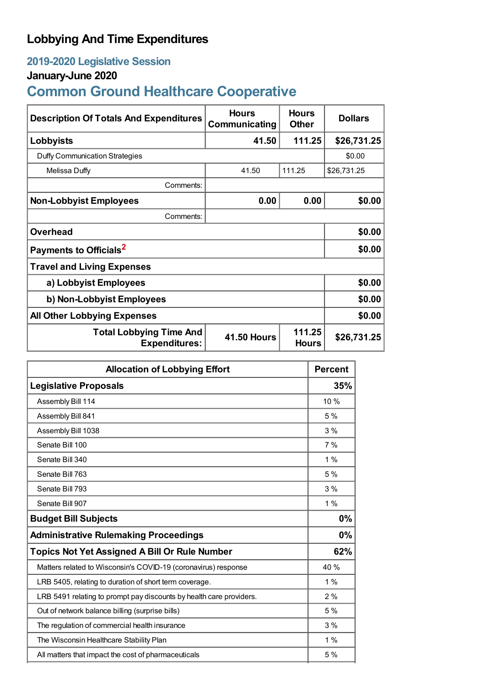## **Lobbying And Time Expenditures**

## **2019-2020 Legislative Session**

## **January-June 2020**

# **Common Ground Healthcare Cooperative**

| <b>Description Of Totals And Expenditures</b>          | <b>Hours</b><br>Communicating | <b>Hours</b><br><b>Other</b> | <b>Dollars</b> |  |
|--------------------------------------------------------|-------------------------------|------------------------------|----------------|--|
| Lobbyists                                              | 41.50                         | 111.25                       | \$26,731.25    |  |
| Duffy Communication Strategies                         |                               |                              | \$0.00         |  |
| Melissa Duffy                                          | 41.50                         | 111.25                       | \$26,731.25    |  |
| Comments:                                              |                               |                              |                |  |
| <b>Non-Lobbyist Employees</b>                          | 0.00                          | 0.00                         | \$0.00         |  |
| Comments:                                              |                               |                              |                |  |
| <b>Overhead</b>                                        |                               |                              | \$0.00         |  |
| Payments to Officials <sup>2</sup>                     |                               |                              | \$0.00         |  |
| <b>Travel and Living Expenses</b>                      |                               |                              |                |  |
| a) Lobbyist Employees                                  |                               |                              | \$0.00         |  |
| b) Non-Lobbyist Employees                              |                               |                              | \$0.00         |  |
| <b>All Other Lobbying Expenses</b>                     |                               |                              | \$0.00         |  |
| <b>Total Lobbying Time And</b><br><b>Expenditures:</b> | <b>41.50 Hours</b>            | 111.25<br><b>Hours</b>       | \$26,731.25    |  |

| <b>Allocation of Lobbying Effort</b>                                |       |
|---------------------------------------------------------------------|-------|
| <b>Legislative Proposals</b>                                        | 35%   |
| Assembly Bill 114                                                   | 10%   |
| Assembly Bill 841                                                   | 5%    |
| Assembly Bill 1038                                                  | 3%    |
| Senate Bill 100                                                     | 7%    |
| Senate Bill 340                                                     | $1\%$ |
| Senate Bill 763                                                     | 5%    |
| Senate Bill 793                                                     | 3%    |
| Senate Bill 907                                                     | 1%    |
| <b>Budget Bill Subjects</b>                                         | 0%    |
| <b>Administrative Rulemaking Proceedings</b>                        | 0%    |
| <b>Topics Not Yet Assigned A Bill Or Rule Number</b>                | 62%   |
| Matters related to Wisconsin's COVID-19 (coronavirus) response      | 40 %  |
| LRB 5405, relating to duration of short term coverage.              | $1\%$ |
| LRB 5491 relating to prompt pay discounts by health care providers. | 2%    |
| Out of network balance billing (surprise bills)                     | 5 %   |
| The regulation of commercial health insurance                       | 3%    |
| The Wisconsin Healthcare Stability Plan                             | 1%    |
| All matters that impact the cost of pharmaceuticals                 | 5%    |